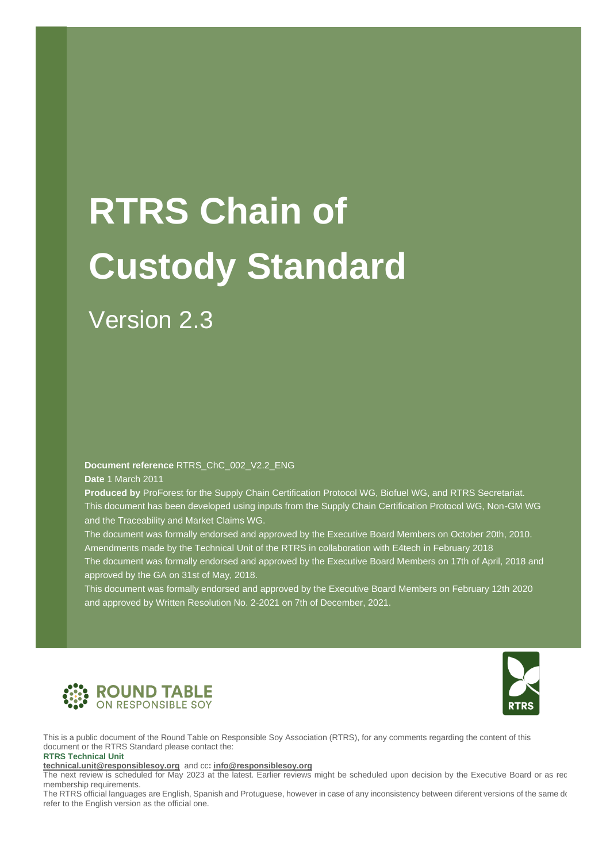# **RTRS Chain of Custody Standard**

### Version 2.3

**Document reference** RTRS\_ChC\_002\_V2.2\_ENG

**Date** 1 March 2011

**Produced by** ProForest for the Supply Chain Certification Protocol WG, Biofuel WG, and RTRS Secretariat. This document has been developed using inputs from the Supply Chain Certification Protocol WG, Non-GM WG and the Traceability and Market Claims WG.

The document was formally endorsed and approved by the Executive Board Members on October 20th, 2010. Amendments made by the Technical Unit of the RTRS in collaboration with E4tech in February 2018

The document was formally endorsed and approved by the Executive Board Members on 17th of April, 2018 and approved by the GA on 31st of May, 2018.

This document was formally endorsed and approved by the Executive Board Members on February 12th 2020 and approved by Written Resolution No. 2-2021 on 7th of December, 2021.





This is a public document of the Round Table on Responsible Soy Association (RTRS), for any comments regarding the content of this document or the RTRS Standard please contact the: **RTRS Technical Unit** 

**[technical.unit@responsiblesoy.org](mailto:technical.unit@responsiblesoy.org)** and cc**[: info@responsiblesoy.org](mailto:info@responsiblesoy.org)**

The next review is scheduled for May 2023 at the latest. Earlier reviews might be scheduled upon decision by the Executive Board or as req membership requirements.

momention requirements.<br>The RTRS official languages are English, Spanish and Protuguese, however in case of any inconsistency between diferent versions of the same do<br>refer to the English version as the official one. refer to the English version as the official one.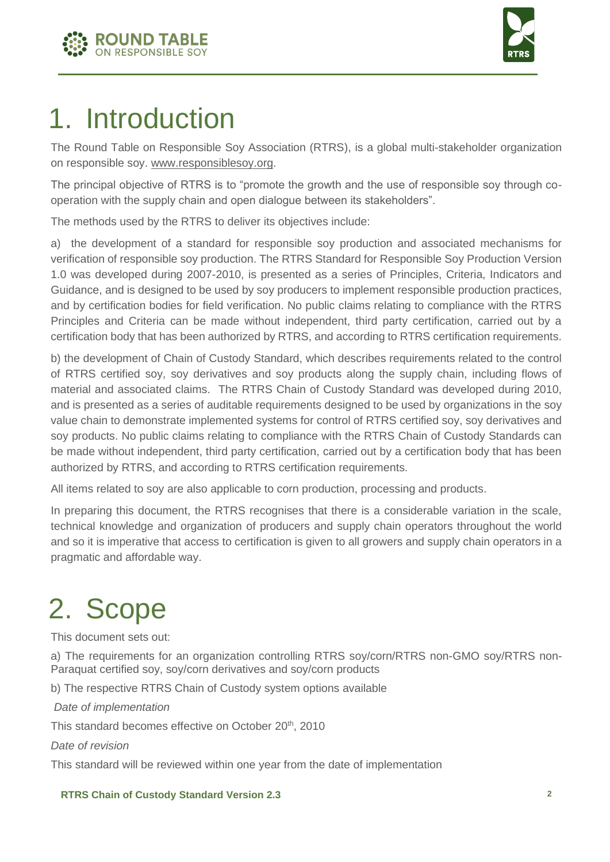



### 1. Introduction

The Round Table on Responsible Soy Association (RTRS), is a global multi-stakeholder organization on responsible soy. [www.responsiblesoy.org.](http://www.responsiblesoy.org/)

The principal objective of RTRS is to "promote the growth and the use of responsible soy through cooperation with the supply chain and open dialogue between its stakeholders".

The methods used by the RTRS to deliver its objectives include:

a) the development of a standard for responsible soy production and associated mechanisms for verification of responsible soy production. The RTRS Standard for Responsible Soy Production Version 1.0 was developed during 2007-2010, is presented as a series of Principles, Criteria, Indicators and Guidance, and is designed to be used by soy producers to implement responsible production practices, and by certification bodies for field verification. No public claims relating to compliance with the RTRS Principles and Criteria can be made without independent, third party certification, carried out by a certification body that has been authorized by RTRS, and according to RTRS certification requirements.

b) the development of Chain of Custody Standard, which describes requirements related to the control of RTRS certified soy, soy derivatives and soy products along the supply chain, including flows of material and associated claims. The RTRS Chain of Custody Standard was developed during 2010, and is presented as a series of auditable requirements designed to be used by organizations in the soy value chain to demonstrate implemented systems for control of RTRS certified soy, soy derivatives and soy products. No public claims relating to compliance with the RTRS Chain of Custody Standards can be made without independent, third party certification, carried out by a certification body that has been authorized by RTRS, and according to RTRS certification requirements.

All items related to soy are also applicable to corn production, processing and products.

In preparing this document, the RTRS recognises that there is a considerable variation in the scale, technical knowledge and organization of producers and supply chain operators throughout the world and so it is imperative that access to certification is given to all growers and supply chain operators in a pragmatic and affordable way.

### 2. Scope

This document sets out:

a) The requirements for an organization controlling RTRS soy/corn/RTRS non-GMO soy/RTRS non-Paraquat certified soy, soy/corn derivatives and soy/corn products

b) The respective RTRS Chain of Custody system options available

*Date of implementation*

This standard becomes effective on October 20<sup>th</sup>, 2010

*Date of revision*

This standard will be reviewed within one year from the date of implementation

#### **RTRS Chain of Custody Standard Version 2.3 2**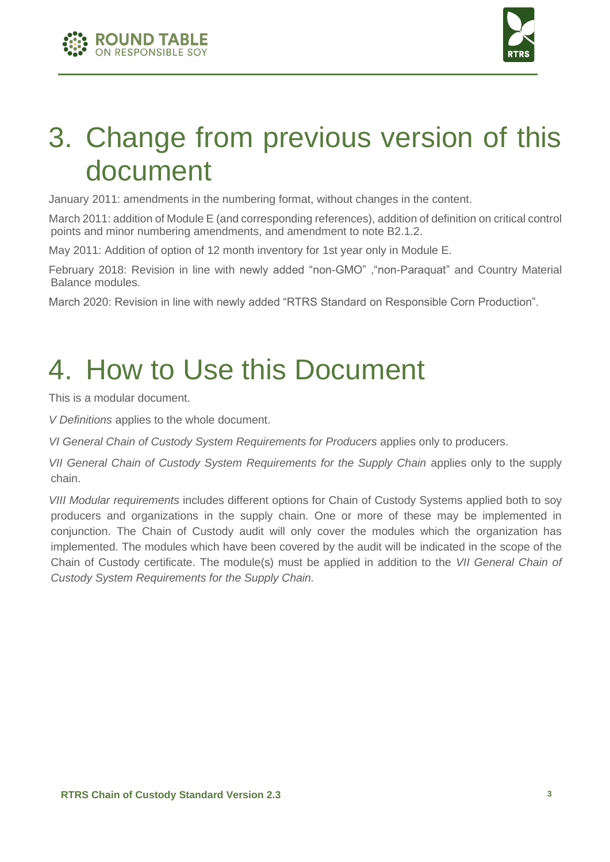



### 3. Change from previous version of this document

January 2011: amendments in the numbering format, without changes in the content.

March 2011: addition of Module E (and corresponding references), addition of definition on critical control points and minor numbering amendments, and amendment to note B2.1.2.

May 2011: Addition of option of 12 month inventory for 1st year only in Module E.

February 2018: Revision in line with newly added "non-GMO" ,"non-Paraquat" and Country Material Balance modules.

March 2020: Revision in line with newly added "RTRS Standard on Responsible Corn Production".

## 4. How to Use this Document

This is a modular document.

*V Definitions* applies to the whole document.

*VI General Chain of Custody System Requirements for Producers* applies only to producers.

*VII General Chain of Custody System Requirements for the Supply Chain applies only to the supply* chain.

*VIII Modular requirements* includes different options for Chain of Custody Systems applied both to soy producers and organizations in the supply chain. One or more of these may be implemented in conjunction. The Chain of Custody audit will only cover the modules which the organization has implemented. The modules which have been covered by the audit will be indicated in the scope of the Chain of Custody certificate. The module(s) must be applied in addition to the *VII General Chain of Custody System Requirements for the Supply Chain.*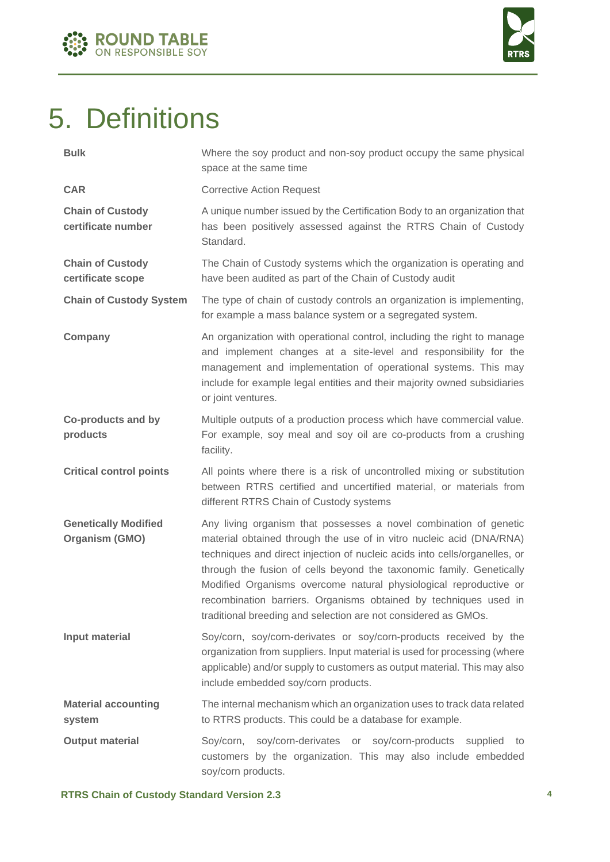



### 5. Definitions

| <b>Bulk</b>                                          | Where the soy product and non-soy product occupy the same physical<br>space at the same time                                                                                                                                                                                                                                                                                                                                                                                                               |
|------------------------------------------------------|------------------------------------------------------------------------------------------------------------------------------------------------------------------------------------------------------------------------------------------------------------------------------------------------------------------------------------------------------------------------------------------------------------------------------------------------------------------------------------------------------------|
| <b>CAR</b>                                           | <b>Corrective Action Request</b>                                                                                                                                                                                                                                                                                                                                                                                                                                                                           |
| <b>Chain of Custody</b><br>certificate number        | A unique number issued by the Certification Body to an organization that<br>has been positively assessed against the RTRS Chain of Custody<br>Standard.                                                                                                                                                                                                                                                                                                                                                    |
| <b>Chain of Custody</b><br>certificate scope         | The Chain of Custody systems which the organization is operating and<br>have been audited as part of the Chain of Custody audit                                                                                                                                                                                                                                                                                                                                                                            |
| <b>Chain of Custody System</b>                       | The type of chain of custody controls an organization is implementing,<br>for example a mass balance system or a segregated system.                                                                                                                                                                                                                                                                                                                                                                        |
| Company                                              | An organization with operational control, including the right to manage<br>and implement changes at a site-level and responsibility for the<br>management and implementation of operational systems. This may<br>include for example legal entities and their majority owned subsidiaries<br>or joint ventures.                                                                                                                                                                                            |
| <b>Co-products and by</b><br>products                | Multiple outputs of a production process which have commercial value.<br>For example, soy meal and soy oil are co-products from a crushing<br>facility.                                                                                                                                                                                                                                                                                                                                                    |
| <b>Critical control points</b>                       | All points where there is a risk of uncontrolled mixing or substitution<br>between RTRS certified and uncertified material, or materials from<br>different RTRS Chain of Custody systems                                                                                                                                                                                                                                                                                                                   |
| <b>Genetically Modified</b><br><b>Organism (GMO)</b> | Any living organism that possesses a novel combination of genetic<br>material obtained through the use of in vitro nucleic acid (DNA/RNA)<br>techniques and direct injection of nucleic acids into cells/organelles, or<br>through the fusion of cells beyond the taxonomic family. Genetically<br>Modified Organisms overcome natural physiological reproductive or<br>recombination barriers. Organisms obtained by techniques used in<br>traditional breeding and selection are not considered as GMOs. |
| <b>Input material</b>                                | Soy/corn, soy/corn-derivates or soy/corn-products received by the<br>organization from suppliers. Input material is used for processing (where<br>applicable) and/or supply to customers as output material. This may also<br>include embedded soy/corn products.                                                                                                                                                                                                                                          |
| <b>Material accounting</b><br>system                 | The internal mechanism which an organization uses to track data related<br>to RTRS products. This could be a database for example.                                                                                                                                                                                                                                                                                                                                                                         |
| <b>Output material</b>                               | Soy/corn, soy/corn-derivates or soy/corn-products supplied<br>to<br>customers by the organization. This may also include embedded<br>soy/corn products.                                                                                                                                                                                                                                                                                                                                                    |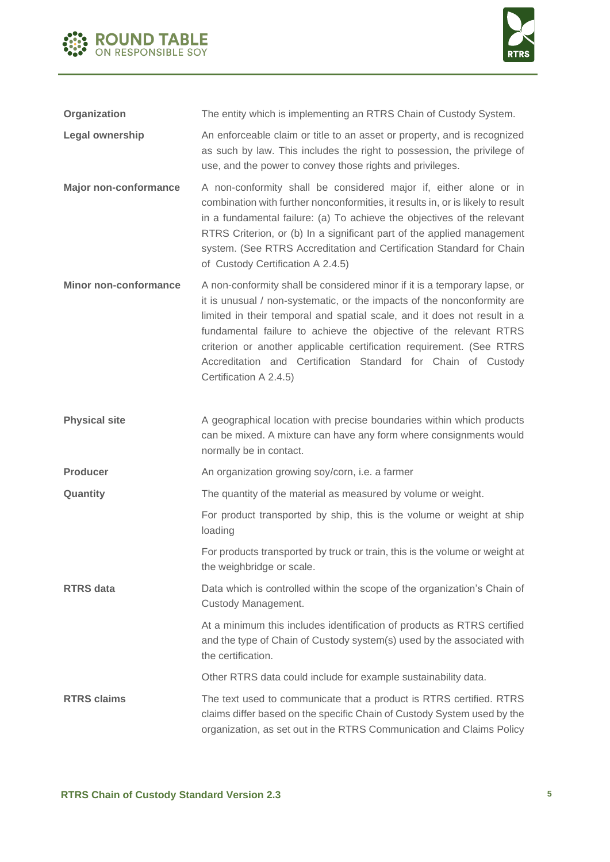



**Organization** The entity which is implementing an RTRS Chain of Custody System. **Legal ownership** An enforceable claim or title to an asset or property, and is recognized as such by law. This includes the right to possession, the privilege of use, and the power to convey those rights and privileges. **Major non-conformance** A non-conformity shall be considered major if, either alone or in

- combination with further nonconformities, it results in, or is likely to result in a fundamental failure: (a) To achieve the objectives of the relevant RTRS Criterion, or (b) In a significant part of the applied management system. (See RTRS Accreditation and Certification Standard for Chain of Custody Certification A 2.4.5)
- **Minor non-conformance** A non-conformity shall be considered minor if it is a temporary lapse, or it is unusual / non-systematic, or the impacts of the nonconformity are limited in their temporal and spatial scale, and it does not result in a fundamental failure to achieve the objective of the relevant RTRS criterion or another applicable certification requirement. (See RTRS Accreditation and Certification Standard for Chain of Custody Certification A 2.4.5)
- **Physical site** A geographical location with precise boundaries within which products can be mixed. A mixture can have any form where consignments would normally be in contact.
- **Producer An organization growing soy/corn, i.e. a farmer**
- **Quantity The quantity of the material as measured by volume or weight.**

For product transported by ship, this is the volume or weight at ship loading

For products transported by truck or train, this is the volume or weight at the weighbridge or scale.

**RTRS data** Data which is controlled within the scope of the organization's Chain of Custody Management.

> At a minimum this includes identification of products as RTRS certified and the type of Chain of Custody system(s) used by the associated with the certification.

Other RTRS data could include for example sustainability data.

**RTRS claims** The text used to communicate that a product is RTRS certified. RTRS claims differ based on the specific Chain of Custody System used by the organization, as set out in the RTRS Communication and Claims Policy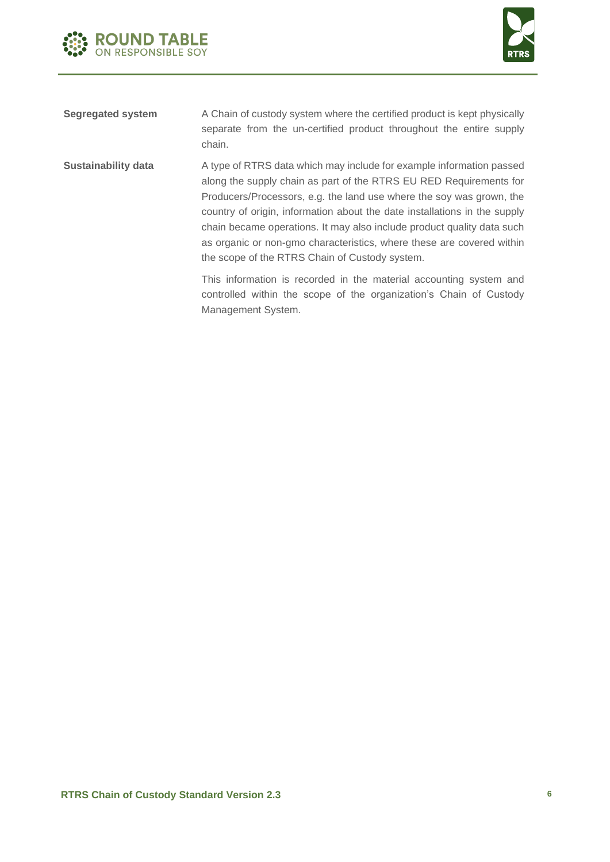



| Segregated system | A Chain of custody system where the certified product is kept physically |  |  |                                                                     |  |  |  |  |  |  |
|-------------------|--------------------------------------------------------------------------|--|--|---------------------------------------------------------------------|--|--|--|--|--|--|
|                   |                                                                          |  |  | separate from the un-certified product throughout the entire supply |  |  |  |  |  |  |
|                   | chain.                                                                   |  |  |                                                                     |  |  |  |  |  |  |

**Sustainability data** A type of RTRS data which may include for example information passed along the supply chain as part of the RTRS EU RED Requirements for Producers/Processors, e.g. the land use where the soy was grown, the country of origin, information about the date installations in the supply chain became operations. It may also include product quality data such as organic or non-gmo characteristics, where these are covered within the scope of the RTRS Chain of Custody system.

> This information is recorded in the material accounting system and controlled within the scope of the organization's Chain of Custody Management System.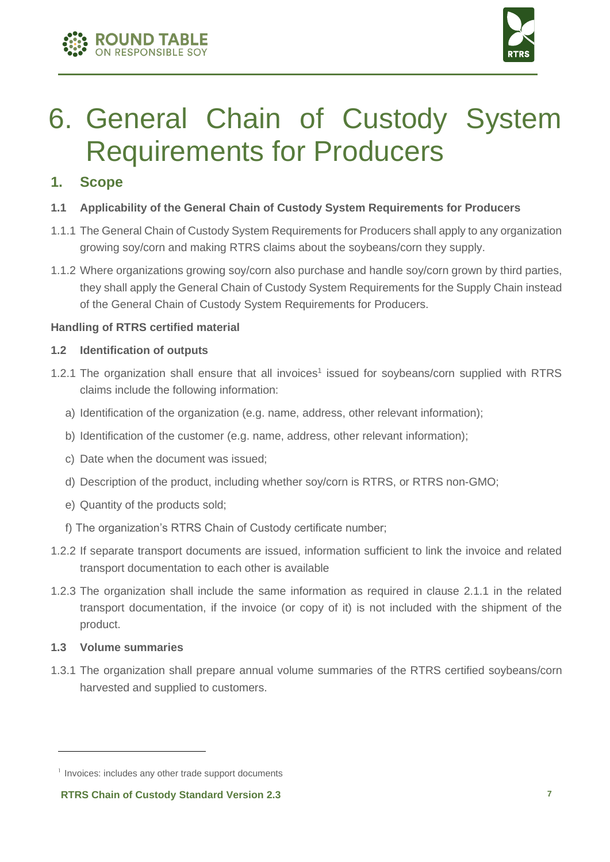



### 6. General Chain of Custody System Requirements for Producers

#### **1. Scope**

- **1.1 Applicability of the General Chain of Custody System Requirements for Producers**
- 1.1.1 The General Chain of Custody System Requirements for Producers shall apply to any organization growing soy/corn and making RTRS claims about the soybeans/corn they supply.
- 1.1.2 Where organizations growing soy/corn also purchase and handle soy/corn grown by third parties, they shall apply the General Chain of Custody System Requirements for the Supply Chain instead of the General Chain of Custody System Requirements for Producers.

#### **Handling of RTRS certified material**

#### **1.2 Identification of outputs**

- 1.2.1 The organization shall ensure that all invoices<sup>1</sup> issued for soybeans/corn supplied with RTRS claims include the following information:
	- a) Identification of the organization (e.g. name, address, other relevant information);
	- b) Identification of the customer (e.g. name, address, other relevant information);
	- c) Date when the document was issued;
	- d) Description of the product, including whether soy/corn is RTRS, or RTRS non-GMO;
	- e) Quantity of the products sold;
	- f) The organization's RTRS Chain of Custody certificate number;
- 1.2.2 If separate transport documents are issued, information sufficient to link the invoice and related transport documentation to each other is available
- 1.2.3 The organization shall include the same information as required in clause 2.1.1 in the related transport documentation, if the invoice (or copy of it) is not included with the shipment of the product.

#### **1.3 Volume summaries**

1.3.1 The organization shall prepare annual volume summaries of the RTRS certified soybeans/corn harvested and supplied to customers.

<sup>&</sup>lt;sup>1</sup> Invoices: includes any other trade support documents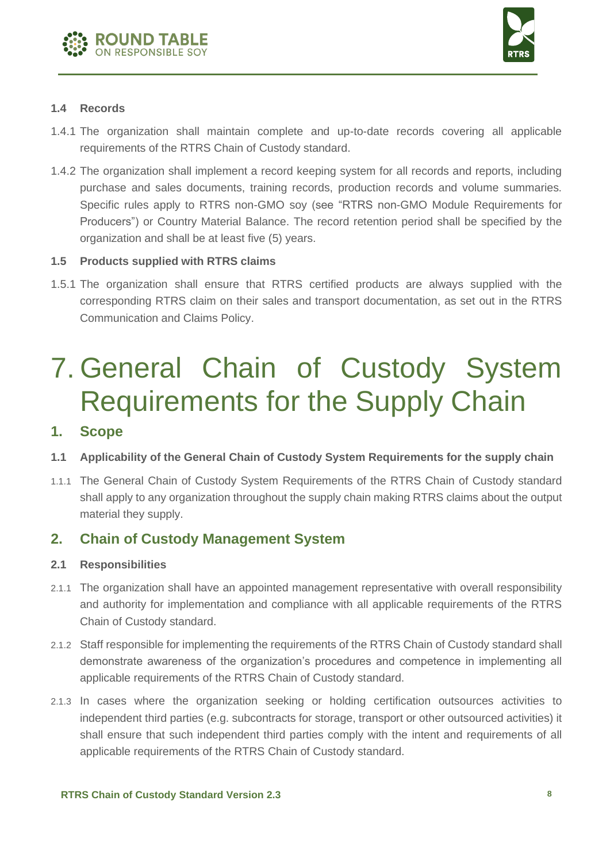



#### **1.4 Records**

- 1.4.1 The organization shall maintain complete and up-to-date records covering all applicable requirements of the RTRS Chain of Custody standard.
- 1.4.2 The organization shall implement a record keeping system for all records and reports, including purchase and sales documents, training records, production records and volume summaries. Specific rules apply to RTRS non-GMO soy (see "RTRS non-GMO Module Requirements for Producers") or Country Material Balance. The record retention period shall be specified by the organization and shall be at least five (5) years.

#### **1.5 Products supplied with RTRS claims**

1.5.1 The organization shall ensure that RTRS certified products are always supplied with the corresponding RTRS claim on their sales and transport documentation, as set out in the RTRS Communication and Claims Policy.

### 7. General Chain of Custody System Requirements for the Supply Chain

#### **1. Scope**

- **1.1 Applicability of the General Chain of Custody System Requirements for the supply chain**
- 1.1.1 The General Chain of Custody System Requirements of the RTRS Chain of Custody standard shall apply to any organization throughout the supply chain making RTRS claims about the output material they supply.

#### **2. Chain of Custody Management System**

#### **2.1 Responsibilities**

- 2.1.1 The organization shall have an appointed management representative with overall responsibility and authority for implementation and compliance with all applicable requirements of the RTRS Chain of Custody standard.
- 2.1.2 Staff responsible for implementing the requirements of the RTRS Chain of Custody standard shall demonstrate awareness of the organization's procedures and competence in implementing all applicable requirements of the RTRS Chain of Custody standard.
- 2.1.3 In cases where the organization seeking or holding certification outsources activities to independent third parties (e.g. subcontracts for storage, transport or other outsourced activities) it shall ensure that such independent third parties comply with the intent and requirements of all applicable requirements of the RTRS Chain of Custody standard.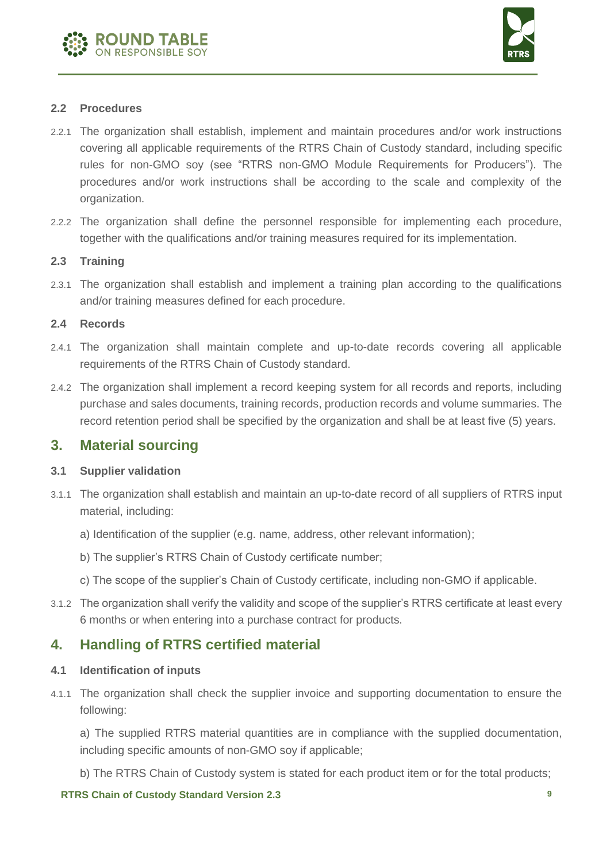



#### **2.2 Procedures**

- 2.2.1 The organization shall establish, implement and maintain procedures and/or work instructions covering all applicable requirements of the RTRS Chain of Custody standard, including specific rules for non-GMO soy (see "RTRS non-GMO Module Requirements for Producers"). The procedures and/or work instructions shall be according to the scale and complexity of the organization.
- 2.2.2 The organization shall define the personnel responsible for implementing each procedure, together with the qualifications and/or training measures required for its implementation.

#### **2.3 Training**

2.3.1 The organization shall establish and implement a training plan according to the qualifications and/or training measures defined for each procedure.

#### **2.4 Records**

- 2.4.1 The organization shall maintain complete and up-to-date records covering all applicable requirements of the RTRS Chain of Custody standard.
- 2.4.2 The organization shall implement a record keeping system for all records and reports, including purchase and sales documents, training records, production records and volume summaries. The record retention period shall be specified by the organization and shall be at least five (5) years.

#### **3. Material sourcing**

#### **3.1 Supplier validation**

- 3.1.1 The organization shall establish and maintain an up-to-date record of all suppliers of RTRS input material, including:
	- a) Identification of the supplier (e.g. name, address, other relevant information);
	- b) The supplier's RTRS Chain of Custody certificate number;
	- c) The scope of the supplier's Chain of Custody certificate, including non-GMO if applicable.
- 3.1.2 The organization shall verify the validity and scope of the supplier's RTRS certificate at least every 6 months or when entering into a purchase contract for products.

#### **4. Handling of RTRS certified material**

#### **4.1 Identification of inputs**

4.1.1 The organization shall check the supplier invoice and supporting documentation to ensure the following:

a) The supplied RTRS material quantities are in compliance with the supplied documentation, including specific amounts of non-GMO soy if applicable;

b) The RTRS Chain of Custody system is stated for each product item or for the total products;

#### **RTRS Chain of Custody Standard Version 2.3 9**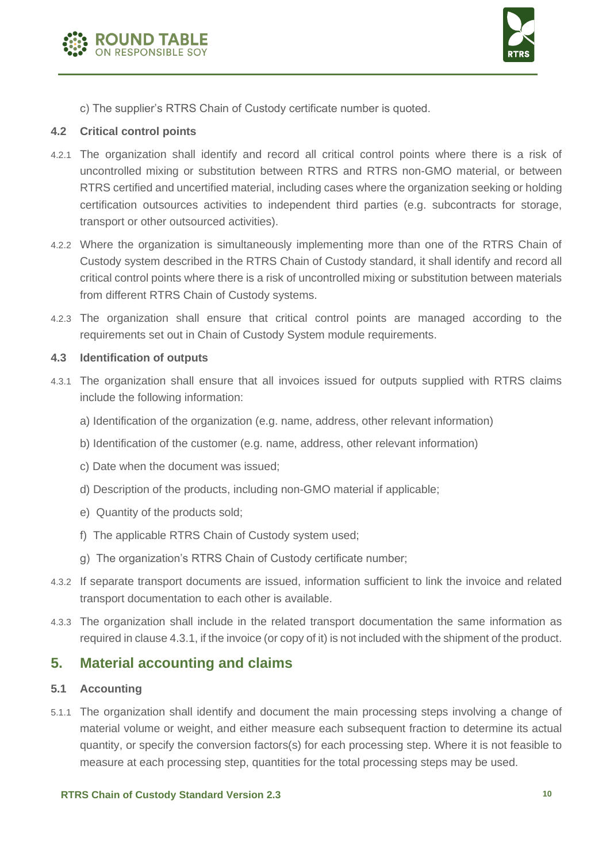



c) The supplier's RTRS Chain of Custody certificate number is quoted.

#### **4.2 Critical control points**

- 4.2.1 The organization shall identify and record all critical control points where there is a risk of uncontrolled mixing or substitution between RTRS and RTRS non-GMO material, or between RTRS certified and uncertified material, including cases where the organization seeking or holding certification outsources activities to independent third parties (e.g. subcontracts for storage, transport or other outsourced activities).
- 4.2.2 Where the organization is simultaneously implementing more than one of the RTRS Chain of Custody system described in the RTRS Chain of Custody standard, it shall identify and record all critical control points where there is a risk of uncontrolled mixing or substitution between materials from different RTRS Chain of Custody systems.
- 4.2.3 The organization shall ensure that critical control points are managed according to the requirements set out in Chain of Custody System module requirements.

#### **4.3 Identification of outputs**

- 4.3.1 The organization shall ensure that all invoices issued for outputs supplied with RTRS claims include the following information:
	- a) Identification of the organization (e.g. name, address, other relevant information)
	- b) Identification of the customer (e.g. name, address, other relevant information)
	- c) Date when the document was issued;
	- d) Description of the products, including non-GMO material if applicable;
	- e) Quantity of the products sold;
	- f) The applicable RTRS Chain of Custody system used;
	- g) The organization's RTRS Chain of Custody certificate number;
- 4.3.2 If separate transport documents are issued, information sufficient to link the invoice and related transport documentation to each other is available.
- 4.3.3 The organization shall include in the related transport documentation the same information as required in clause 4.3.1, if the invoice (or copy of it) is not included with the shipment of the product.

#### **5. Material accounting and claims**

#### **5.1 Accounting**

5.1.1 The organization shall identify and document the main processing steps involving a change of material volume or weight, and either measure each subsequent fraction to determine its actual quantity, or specify the conversion factors(s) for each processing step. Where it is not feasible to measure at each processing step, quantities for the total processing steps may be used.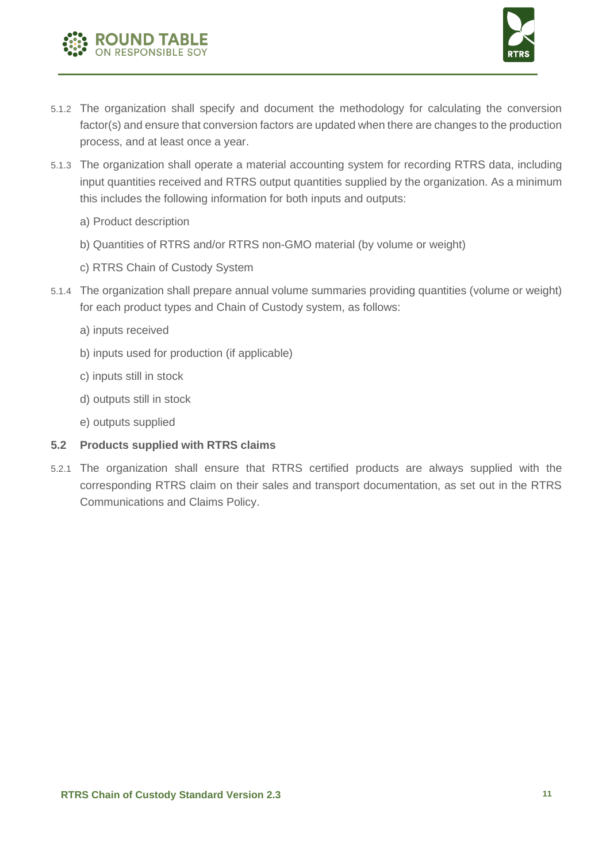



- 5.1.2 The organization shall specify and document the methodology for calculating the conversion factor(s) and ensure that conversion factors are updated when there are changes to the production process, and at least once a year.
- 5.1.3 The organization shall operate a material accounting system for recording RTRS data, including input quantities received and RTRS output quantities supplied by the organization. As a minimum this includes the following information for both inputs and outputs:
	- a) Product description
	- b) Quantities of RTRS and/or RTRS non-GMO material (by volume or weight)
	- c) RTRS Chain of Custody System
- 5.1.4 The organization shall prepare annual volume summaries providing quantities (volume or weight) for each product types and Chain of Custody system, as follows:
	- a) inputs received
	- b) inputs used for production (if applicable)
	- c) inputs still in stock
	- d) outputs still in stock
	- e) outputs supplied

#### **5.2 Products supplied with RTRS claims**

5.2.1 The organization shall ensure that RTRS certified products are always supplied with the corresponding RTRS claim on their sales and transport documentation, as set out in the RTRS Communications and Claims Policy.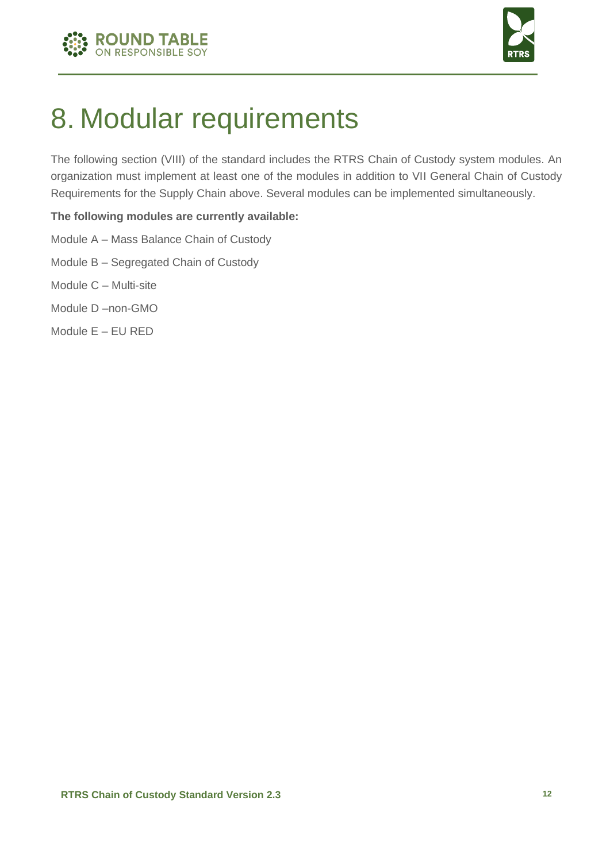



### 8. Modular requirements

The following section (VIII) of the standard includes the RTRS Chain of Custody system modules. An organization must implement at least one of the modules in addition to VII General Chain of Custody Requirements for the Supply Chain above. Several modules can be implemented simultaneously.

#### **The following modules are currently available:**

- Module A Mass Balance Chain of Custody
- Module B Segregated Chain of Custody
- Module C Multi-site
- Module D –non-GMO
- Module E EU RED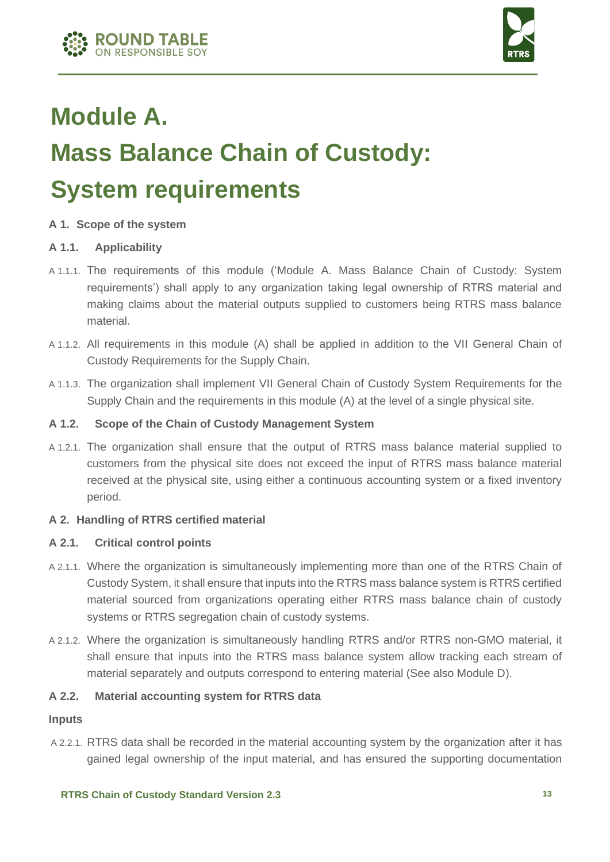

### **Module A. Mass Balance Chain of Custody: System requirements**

#### **A 1. Scope of the system**

#### **A 1.1. Applicability**

- A 1.1.1. The requirements of this module ('Module A. Mass Balance Chain of Custody: System requirements') shall apply to any organization taking legal ownership of RTRS material and making claims about the material outputs supplied to customers being RTRS mass balance material.
- A 1.1.2. All requirements in this module (A) shall be applied in addition to the VII General Chain of Custody Requirements for the Supply Chain.
- A 1.1.3. The organization shall implement VII General Chain of Custody System Requirements for the Supply Chain and the requirements in this module (A) at the level of a single physical site.

#### **A 1.2. Scope of the Chain of Custody Management System**

A 1.2.1. The organization shall ensure that the output of RTRS mass balance material supplied to customers from the physical site does not exceed the input of RTRS mass balance material received at the physical site, using either a continuous accounting system or a fixed inventory period.

#### **A 2. Handling of RTRS certified material**

#### **A 2.1. Critical control points**

- A 2.1.1. Where the organization is simultaneously implementing more than one of the RTRS Chain of Custody System, it shall ensure that inputs into the RTRS mass balance system is RTRS certified material sourced from organizations operating either RTRS mass balance chain of custody systems or RTRS segregation chain of custody systems.
- A 2.1.2. Where the organization is simultaneously handling RTRS and/or RTRS non-GMO material, it shall ensure that inputs into the RTRS mass balance system allow tracking each stream of material separately and outputs correspond to entering material (See also Module D).

#### **A 2.2. Material accounting system for RTRS data**

#### **Inputs**

A 2.2.1. RTRS data shall be recorded in the material accounting system by the organization after it has gained legal ownership of the input material, and has ensured the supporting documentation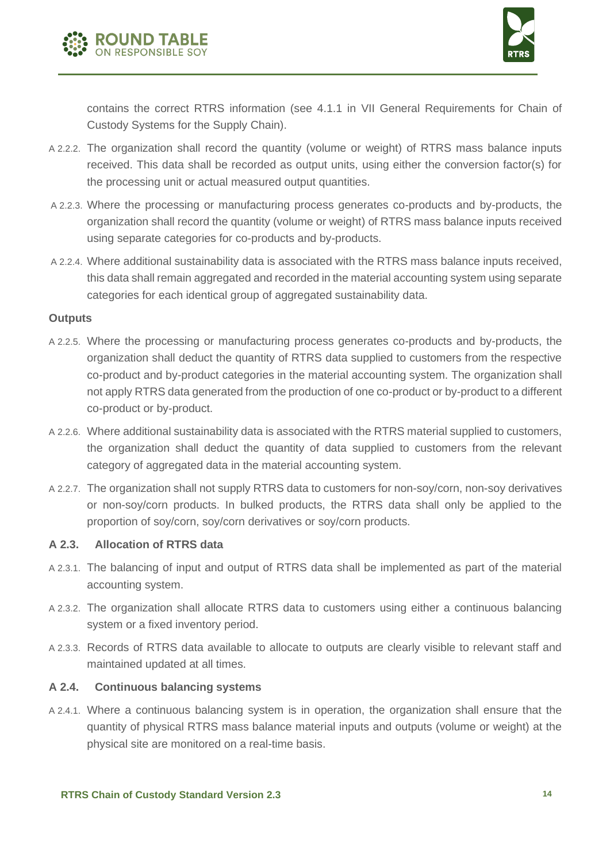



contains the correct RTRS information (see 4.1.1 in VII General Requirements for Chain of Custody Systems for the Supply Chain).

- A 2.2.2. The organization shall record the quantity (volume or weight) of RTRS mass balance inputs received. This data shall be recorded as output units, using either the conversion factor(s) for the processing unit or actual measured output quantities.
- A 2.2.3. Where the processing or manufacturing process generates co-products and by-products, the organization shall record the quantity (volume or weight) of RTRS mass balance inputs received using separate categories for co-products and by-products.
- A 2.2.4. Where additional sustainability data is associated with the RTRS mass balance inputs received, this data shall remain aggregated and recorded in the material accounting system using separate categories for each identical group of aggregated sustainability data.

#### **Outputs**

- A 2.2.5. Where the processing or manufacturing process generates co-products and by-products, the organization shall deduct the quantity of RTRS data supplied to customers from the respective co-product and by-product categories in the material accounting system. The organization shall not apply RTRS data generated from the production of one co-product or by-product to a different co-product or by-product.
- A 2.2.6. Where additional sustainability data is associated with the RTRS material supplied to customers, the organization shall deduct the quantity of data supplied to customers from the relevant category of aggregated data in the material accounting system.
- A 2.2.7. The organization shall not supply RTRS data to customers for non-soy/corn, non-soy derivatives or non-soy/corn products. In bulked products, the RTRS data shall only be applied to the proportion of soy/corn, soy/corn derivatives or soy/corn products.

#### **A 2.3. Allocation of RTRS data**

- A 2.3.1. The balancing of input and output of RTRS data shall be implemented as part of the material accounting system.
- A 2.3.2. The organization shall allocate RTRS data to customers using either a continuous balancing system or a fixed inventory period.
- A 2.3.3. Records of RTRS data available to allocate to outputs are clearly visible to relevant staff and maintained updated at all times.

#### **A 2.4. Continuous balancing systems**

A 2.4.1. Where a continuous balancing system is in operation, the organization shall ensure that the quantity of physical RTRS mass balance material inputs and outputs (volume or weight) at the physical site are monitored on a real-time basis.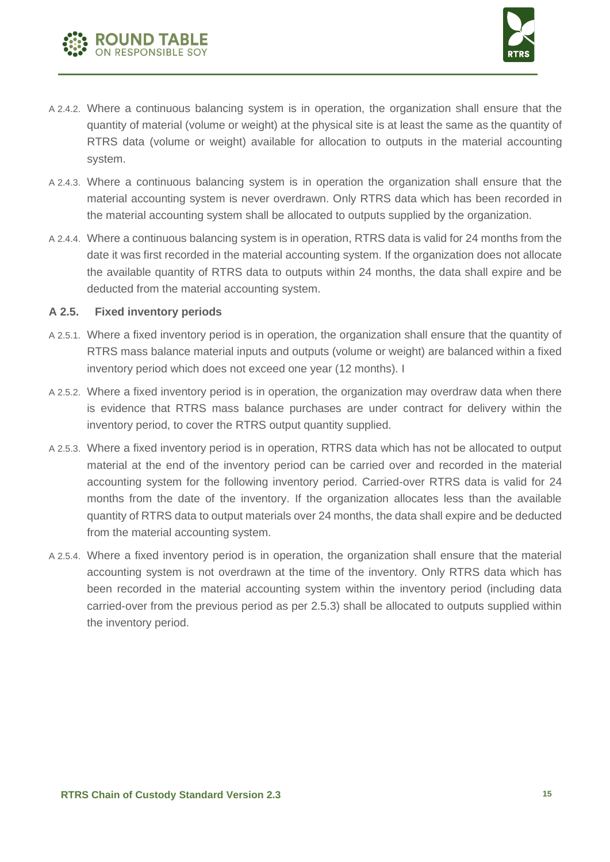



- A 2.4.2. Where a continuous balancing system is in operation, the organization shall ensure that the quantity of material (volume or weight) at the physical site is at least the same as the quantity of RTRS data (volume or weight) available for allocation to outputs in the material accounting system.
- A 2.4.3. Where a continuous balancing system is in operation the organization shall ensure that the material accounting system is never overdrawn. Only RTRS data which has been recorded in the material accounting system shall be allocated to outputs supplied by the organization.
- A 2.4.4. Where a continuous balancing system is in operation, RTRS data is valid for 24 months from the date it was first recorded in the material accounting system. If the organization does not allocate the available quantity of RTRS data to outputs within 24 months, the data shall expire and be deducted from the material accounting system.

#### **A 2.5. Fixed inventory periods**

- A 2.5.1. Where a fixed inventory period is in operation, the organization shall ensure that the quantity of RTRS mass balance material inputs and outputs (volume or weight) are balanced within a fixed inventory period which does not exceed one year (12 months). I
- A 2.5.2. Where a fixed inventory period is in operation, the organization may overdraw data when there is evidence that RTRS mass balance purchases are under contract for delivery within the inventory period, to cover the RTRS output quantity supplied.
- A 2.5.3. Where a fixed inventory period is in operation, RTRS data which has not be allocated to output material at the end of the inventory period can be carried over and recorded in the material accounting system for the following inventory period. Carried-over RTRS data is valid for 24 months from the date of the inventory. If the organization allocates less than the available quantity of RTRS data to output materials over 24 months, the data shall expire and be deducted from the material accounting system.
- A 2.5.4. Where a fixed inventory period is in operation, the organization shall ensure that the material accounting system is not overdrawn at the time of the inventory. Only RTRS data which has been recorded in the material accounting system within the inventory period (including data carried-over from the previous period as per 2.5.3) shall be allocated to outputs supplied within the inventory period.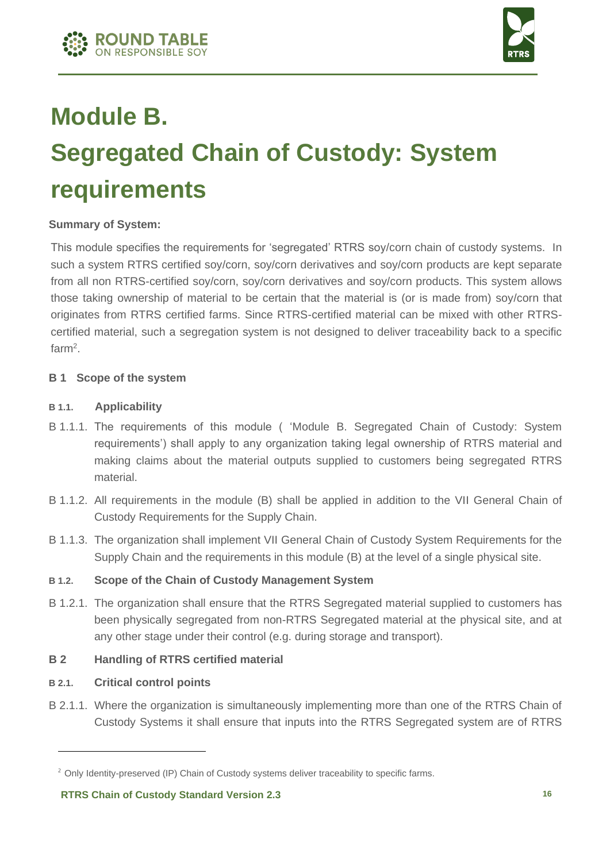



### **Module B. Segregated Chain of Custody: System requirements**

#### **Summary of System:**

This module specifies the requirements for 'segregated' RTRS soy/corn chain of custody systems. In such a system RTRS certified soy/corn, soy/corn derivatives and soy/corn products are kept separate from all non RTRS-certified soy/corn, soy/corn derivatives and soy/corn products. This system allows those taking ownership of material to be certain that the material is (or is made from) soy/corn that originates from RTRS certified farms. Since RTRS-certified material can be mixed with other RTRScertified material, such a segregation system is not designed to deliver traceability back to a specific farm<sup>2</sup>.

#### **B 1 Scope of the system**

#### **B 1.1. Applicability**

- B 1.1.1. The requirements of this module ( 'Module B. Segregated Chain of Custody: System requirements') shall apply to any organization taking legal ownership of RTRS material and making claims about the material outputs supplied to customers being segregated RTRS material.
- B 1.1.2. All requirements in the module (B) shall be applied in addition to the VII General Chain of Custody Requirements for the Supply Chain.
- B 1.1.3. The organization shall implement VII General Chain of Custody System Requirements for the Supply Chain and the requirements in this module (B) at the level of a single physical site.

#### **B 1.2. Scope of the Chain of Custody Management System**

B 1.2.1. The organization shall ensure that the RTRS Segregated material supplied to customers has been physically segregated from non-RTRS Segregated material at the physical site, and at any other stage under their control (e.g. during storage and transport).

#### **B 2 Handling of RTRS certified material**

#### **B 2.1. Critical control points**

B 2.1.1. Where the organization is simultaneously implementing more than one of the RTRS Chain of Custody Systems it shall ensure that inputs into the RTRS Segregated system are of RTRS

<sup>&</sup>lt;sup>2</sup> Only Identity-preserved (IP) Chain of Custody systems deliver traceability to specific farms.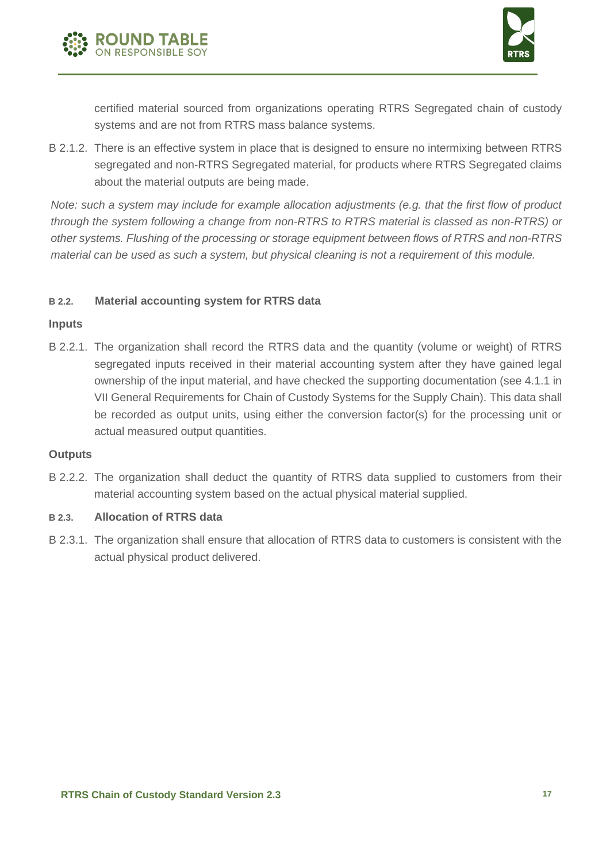



certified material sourced from organizations operating RTRS Segregated chain of custody systems and are not from RTRS mass balance systems.

B 2.1.2. There is an effective system in place that is designed to ensure no intermixing between RTRS segregated and non-RTRS Segregated material, for products where RTRS Segregated claims about the material outputs are being made.

*Note: such a system may include for example allocation adjustments (e.g. that the first flow of product through the system following a change from non-RTRS to RTRS material is classed as non-RTRS) or other systems. Flushing of the processing or storage equipment between flows of RTRS and non-RTRS material can be used as such a system, but physical cleaning is not a requirement of this module.* 

#### **B 2.2. Material accounting system for RTRS data**

#### **Inputs**

B 2.2.1. The organization shall record the RTRS data and the quantity (volume or weight) of RTRS segregated inputs received in their material accounting system after they have gained legal ownership of the input material, and have checked the supporting documentation (see 4.1.1 in VII General Requirements for Chain of Custody Systems for the Supply Chain). This data shall be recorded as output units, using either the conversion factor(s) for the processing unit or actual measured output quantities.

#### **Outputs**

B 2.2.2. The organization shall deduct the quantity of RTRS data supplied to customers from their material accounting system based on the actual physical material supplied.

#### **B 2.3. Allocation of RTRS data**

B 2.3.1. The organization shall ensure that allocation of RTRS data to customers is consistent with the actual physical product delivered.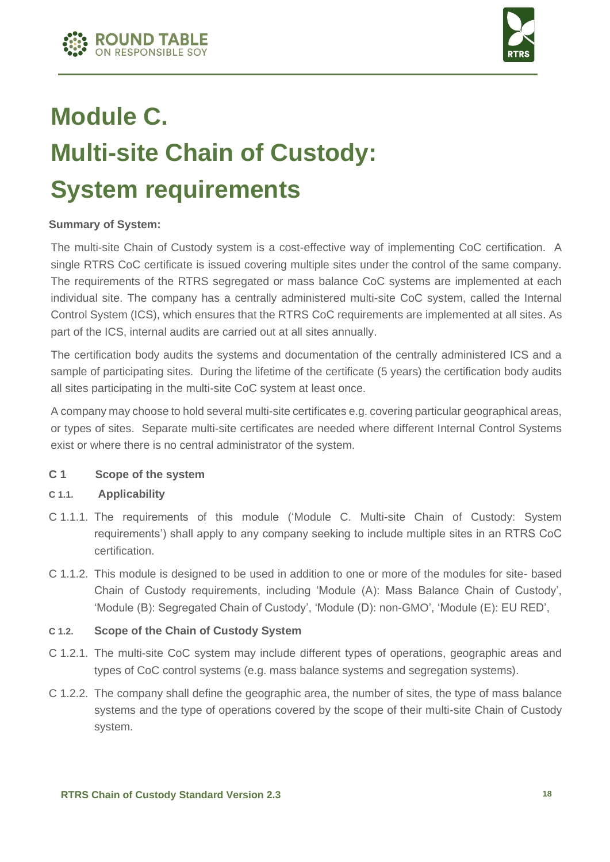



## **Module C. Multi-site Chain of Custody: System requirements**

#### **Summary of System:**

The multi-site Chain of Custody system is a cost-effective way of implementing CoC certification. A single RTRS CoC certificate is issued covering multiple sites under the control of the same company. The requirements of the RTRS segregated or mass balance CoC systems are implemented at each individual site. The company has a centrally administered multi-site CoC system, called the Internal Control System (ICS), which ensures that the RTRS CoC requirements are implemented at all sites. As part of the ICS, internal audits are carried out at all sites annually.

The certification body audits the systems and documentation of the centrally administered ICS and a sample of participating sites. During the lifetime of the certificate (5 years) the certification body audits all sites participating in the multi-site CoC system at least once.

A company may choose to hold several multi-site certificates e.g. covering particular geographical areas, or types of sites. Separate multi-site certificates are needed where different Internal Control Systems exist or where there is no central administrator of the system.

#### **C 1 Scope of the system**

#### **C 1.1. Applicability**

- C 1.1.1. The requirements of this module ('Module C. Multi-site Chain of Custody: System requirements') shall apply to any company seeking to include multiple sites in an RTRS CoC certification.
- C 1.1.2. This module is designed to be used in addition to one or more of the modules for site- based Chain of Custody requirements, including 'Module (A): Mass Balance Chain of Custody', 'Module (B): Segregated Chain of Custody', 'Module (D): non-GMO', 'Module (E): EU RED',

#### **C 1.2. Scope of the Chain of Custody System**

- C 1.2.1. The multi-site CoC system may include different types of operations, geographic areas and types of CoC control systems (e.g. mass balance systems and segregation systems).
- C 1.2.2. The company shall define the geographic area, the number of sites, the type of mass balance systems and the type of operations covered by the scope of their multi-site Chain of Custody system.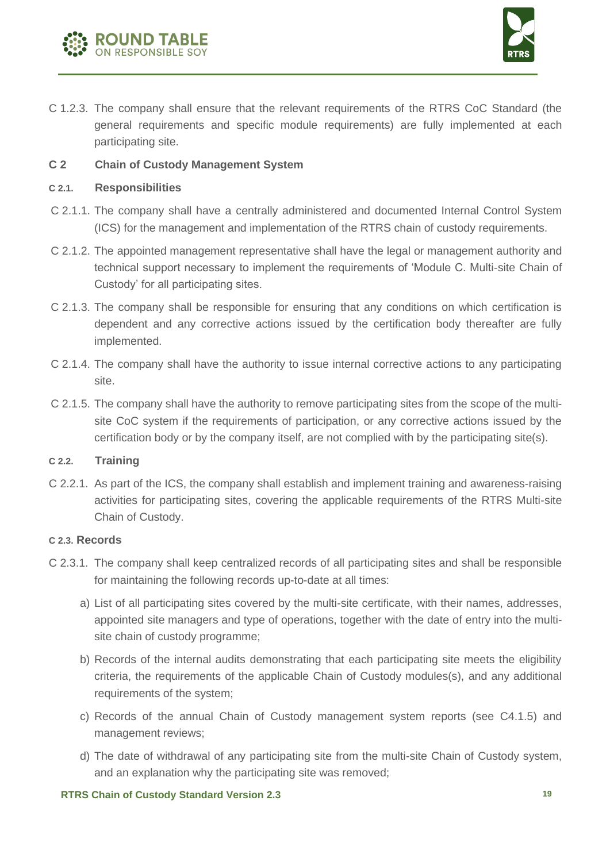



C 1.2.3. The company shall ensure that the relevant requirements of the RTRS CoC Standard (the general requirements and specific module requirements) are fully implemented at each participating site.

#### **C 2 Chain of Custody Management System**

#### **C 2.1. Responsibilities**

- C 2.1.1. The company shall have a centrally administered and documented Internal Control System (ICS) for the management and implementation of the RTRS chain of custody requirements.
- C 2.1.2. The appointed management representative shall have the legal or management authority and technical support necessary to implement the requirements of 'Module C. Multi-site Chain of Custody' for all participating sites.
- C 2.1.3. The company shall be responsible for ensuring that any conditions on which certification is dependent and any corrective actions issued by the certification body thereafter are fully implemented.
- C 2.1.4. The company shall have the authority to issue internal corrective actions to any participating site.
- C 2.1.5. The company shall have the authority to remove participating sites from the scope of the multisite CoC system if the requirements of participation, or any corrective actions issued by the certification body or by the company itself, are not complied with by the participating site(s).

#### **C 2.2. Training**

C 2.2.1. As part of the ICS, the company shall establish and implement training and awareness-raising activities for participating sites, covering the applicable requirements of the RTRS Multi-site Chain of Custody.

#### **C 2.3. Records**

- C 2.3.1. The company shall keep centralized records of all participating sites and shall be responsible for maintaining the following records up-to-date at all times:
	- a) List of all participating sites covered by the multi-site certificate, with their names, addresses, appointed site managers and type of operations, together with the date of entry into the multisite chain of custody programme;
	- b) Records of the internal audits demonstrating that each participating site meets the eligibility criteria, the requirements of the applicable Chain of Custody modules(s), and any additional requirements of the system;
	- c) Records of the annual Chain of Custody management system reports (see C4.1.5) and management reviews;
	- d) The date of withdrawal of any participating site from the multi-site Chain of Custody system, and an explanation why the participating site was removed;

#### **RTRS Chain of Custody Standard Version 2.3 19**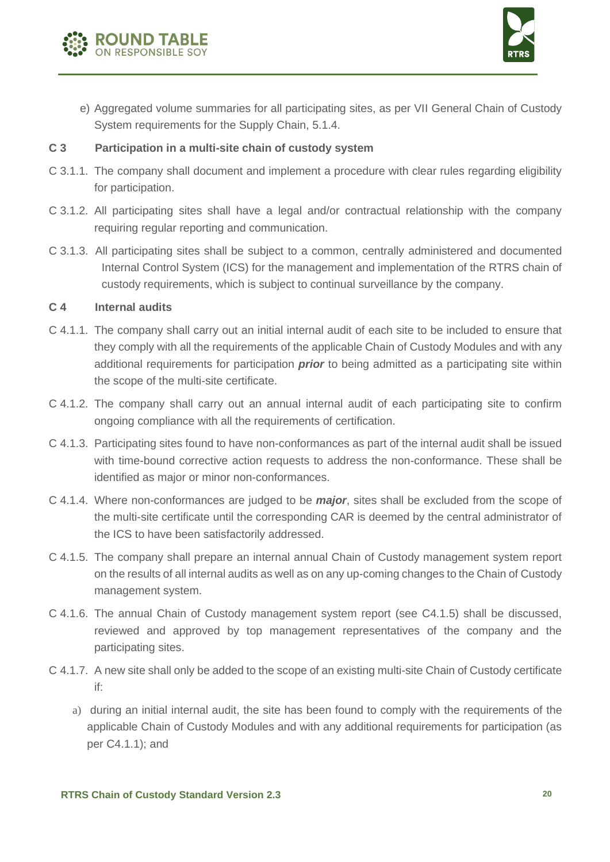



e) Aggregated volume summaries for all participating sites, as per VII General Chain of Custody System requirements for the Supply Chain, 5.1.4.

#### **C 3 Participation in a multi-site chain of custody system**

- C 3.1.1. The company shall document and implement a procedure with clear rules regarding eligibility for participation.
- C 3.1.2. All participating sites shall have a legal and/or contractual relationship with the company requiring regular reporting and communication.
- C 3.1.3. All participating sites shall be subject to a common, centrally administered and documented Internal Control System (ICS) for the management and implementation of the RTRS chain of custody requirements, which is subject to continual surveillance by the company.

#### **C 4 Internal audits**

- C 4.1.1. The company shall carry out an initial internal audit of each site to be included to ensure that they comply with all the requirements of the applicable Chain of Custody Modules and with any additional requirements for participation *prior* to being admitted as a participating site within the scope of the multi-site certificate.
- C 4.1.2. The company shall carry out an annual internal audit of each participating site to confirm ongoing compliance with all the requirements of certification.
- C 4.1.3. Participating sites found to have non-conformances as part of the internal audit shall be issued with time-bound corrective action requests to address the non-conformance. These shall be identified as major or minor non-conformances.
- C 4.1.4. Where non-conformances are judged to be *major*, sites shall be excluded from the scope of the multi-site certificate until the corresponding CAR is deemed by the central administrator of the ICS to have been satisfactorily addressed.
- C 4.1.5. The company shall prepare an internal annual Chain of Custody management system report on the results of all internal audits as well as on any up-coming changes to the Chain of Custody management system.
- C 4.1.6. The annual Chain of Custody management system report (see C4.1.5) shall be discussed, reviewed and approved by top management representatives of the company and the participating sites.
- C 4.1.7. A new site shall only be added to the scope of an existing multi-site Chain of Custody certificate if:
	- a) during an initial internal audit, the site has been found to comply with the requirements of the applicable Chain of Custody Modules and with any additional requirements for participation (as per C4.1.1); and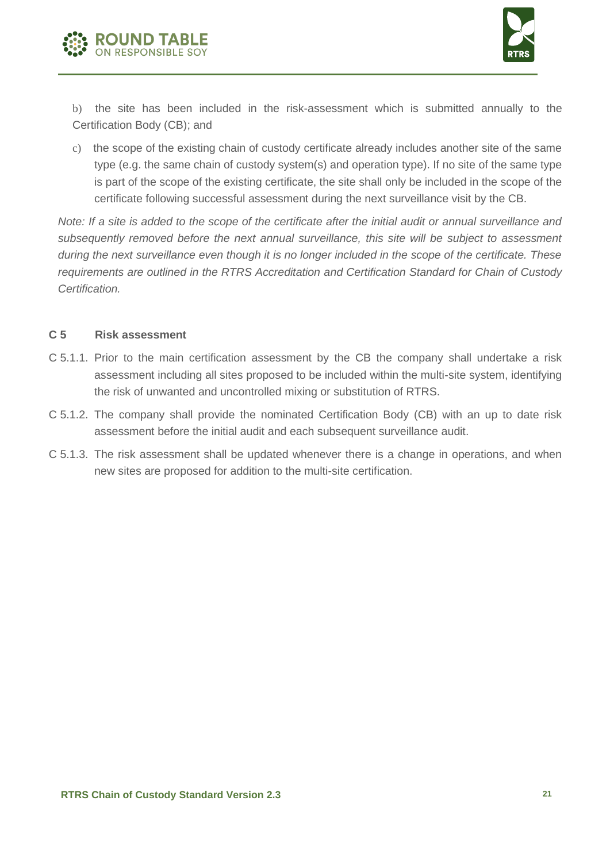



b) the site has been included in the risk-assessment which is submitted annually to the Certification Body (CB); and

c) the scope of the existing chain of custody certificate already includes another site of the same type (e.g. the same chain of custody system(s) and operation type). If no site of the same type is part of the scope of the existing certificate, the site shall only be included in the scope of the certificate following successful assessment during the next surveillance visit by the CB.

*Note: If a site is added to the scope of the certificate after the initial audit or annual surveillance and subsequently removed before the next annual surveillance, this site will be subject to assessment during the next surveillance even though it is no longer included in the scope of the certificate. These requirements are outlined in the RTRS Accreditation and Certification Standard for Chain of Custody Certification.* 

#### **C 5 Risk assessment**

- C 5.1.1. Prior to the main certification assessment by the CB the company shall undertake a risk assessment including all sites proposed to be included within the multi-site system, identifying the risk of unwanted and uncontrolled mixing or substitution of RTRS.
- C 5.1.2. The company shall provide the nominated Certification Body (CB) with an up to date risk assessment before the initial audit and each subsequent surveillance audit.
- C 5.1.3. The risk assessment shall be updated whenever there is a change in operations, and when new sites are proposed for addition to the multi-site certification.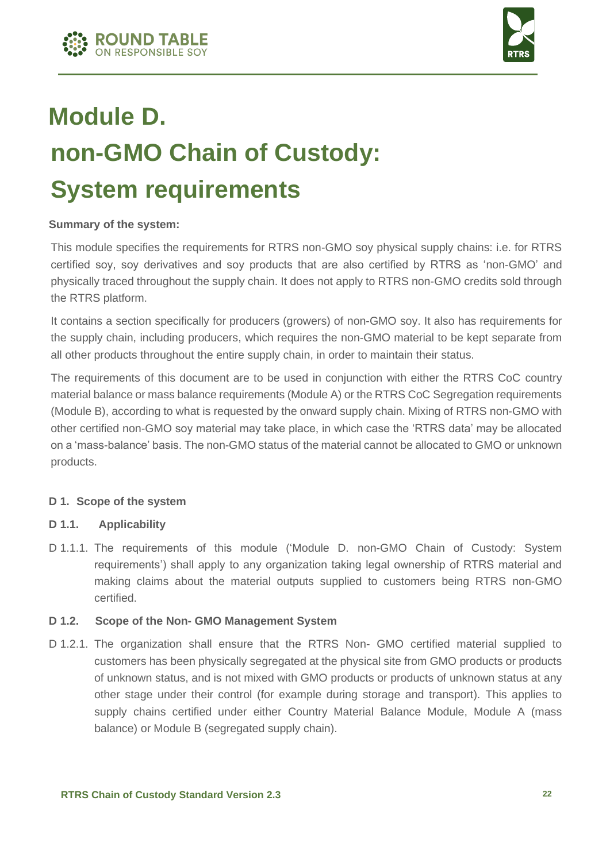



### **Module D. non-GMO Chain of Custody: System requirements**

#### **Summary of the system:**

This module specifies the requirements for RTRS non-GMO soy physical supply chains: i.e. for RTRS certified soy, soy derivatives and soy products that are also certified by RTRS as 'non-GMO' and physically traced throughout the supply chain. It does not apply to RTRS non-GMO credits sold through the RTRS platform.

It contains a section specifically for producers (growers) of non-GMO soy. It also has requirements for the supply chain, including producers, which requires the non-GMO material to be kept separate from all other products throughout the entire supply chain, in order to maintain their status.

The requirements of this document are to be used in conjunction with either the RTRS CoC country material balance or mass balance requirements (Module A) or the RTRS CoC Segregation requirements (Module B), according to what is requested by the onward supply chain. Mixing of RTRS non-GMO with other certified non-GMO soy material may take place, in which case the 'RTRS data' may be allocated on a 'mass-balance' basis. The non-GMO status of the material cannot be allocated to GMO or unknown products.

#### **D 1. Scope of the system**

#### **D 1.1. Applicability**

D 1.1.1. The requirements of this module ('Module D. non-GMO Chain of Custody: System requirements') shall apply to any organization taking legal ownership of RTRS material and making claims about the material outputs supplied to customers being RTRS non-GMO certified.

#### **D 1.2. Scope of the Non- GMO Management System**

D 1.2.1. The organization shall ensure that the RTRS Non- GMO certified material supplied to customers has been physically segregated at the physical site from GMO products or products of unknown status, and is not mixed with GMO products or products of unknown status at any other stage under their control (for example during storage and transport). This applies to supply chains certified under either Country Material Balance Module, Module A (mass balance) or Module B (segregated supply chain).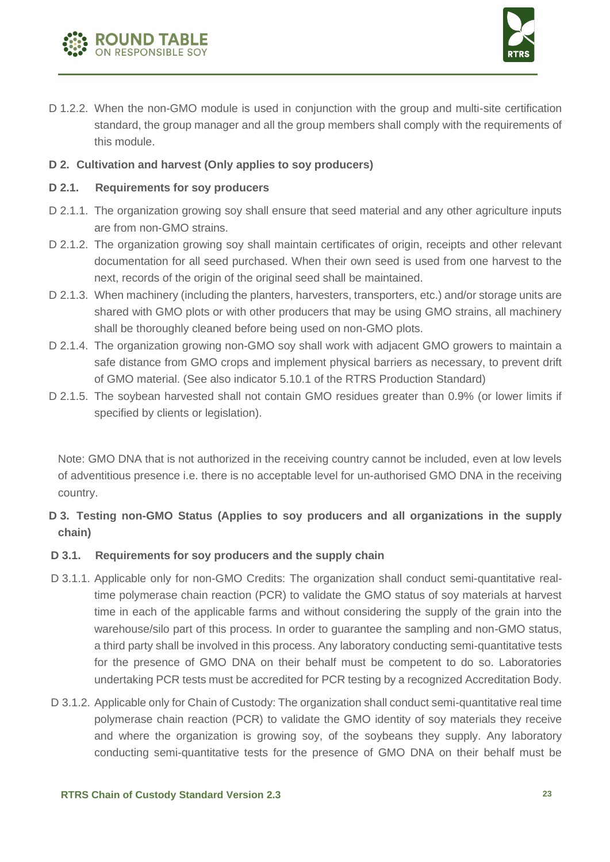



D 1.2.2. When the non-GMO module is used in conjunction with the group and multi-site certification standard, the group manager and all the group members shall comply with the requirements of this module.

#### **D 2. Cultivation and harvest (Only applies to soy producers)**

#### **D 2.1. Requirements for soy producers**

- D 2.1.1. The organization growing soy shall ensure that seed material and any other agriculture inputs are from non-GMO strains.
- D 2.1.2. The organization growing soy shall maintain certificates of origin, receipts and other relevant documentation for all seed purchased. When their own seed is used from one harvest to the next, records of the origin of the original seed shall be maintained.
- D 2.1.3. When machinery (including the planters, harvesters, transporters, etc.) and/or storage units are shared with GMO plots or with other producers that may be using GMO strains, all machinery shall be thoroughly cleaned before being used on non-GMO plots.
- D 2.1.4. The organization growing non-GMO soy shall work with adjacent GMO growers to maintain a safe distance from GMO crops and implement physical barriers as necessary, to prevent drift of GMO material. (See also indicator 5.10.1 of the RTRS Production Standard)
- D 2.1.5. The soybean harvested shall not contain GMO residues greater than 0.9% (or lower limits if specified by clients or legislation).

Note: GMO DNA that is not authorized in the receiving country cannot be included, even at low levels of adventitious presence i.e. there is no acceptable level for un-authorised GMO DNA in the receiving country.

#### **D 3. Testing non-GMO Status (Applies to soy producers and all organizations in the supply chain)**

#### **D 3.1. Requirements for soy producers and the supply chain**

- D 3.1.1. Applicable only for non-GMO Credits: The organization shall conduct semi-quantitative realtime polymerase chain reaction (PCR) to validate the GMO status of soy materials at harvest time in each of the applicable farms and without considering the supply of the grain into the warehouse/silo part of this process. In order to guarantee the sampling and non-GMO status, a third party shall be involved in this process. Any laboratory conducting semi-quantitative tests for the presence of GMO DNA on their behalf must be competent to do so. Laboratories undertaking PCR tests must be accredited for PCR testing by a recognized Accreditation Body.
- D 3.1.2. Applicable only for Chain of Custody: The organization shall conduct semi-quantitative real time polymerase chain reaction (PCR) to validate the GMO identity of soy materials they receive and where the organization is growing soy, of the soybeans they supply. Any laboratory conducting semi-quantitative tests for the presence of GMO DNA on their behalf must be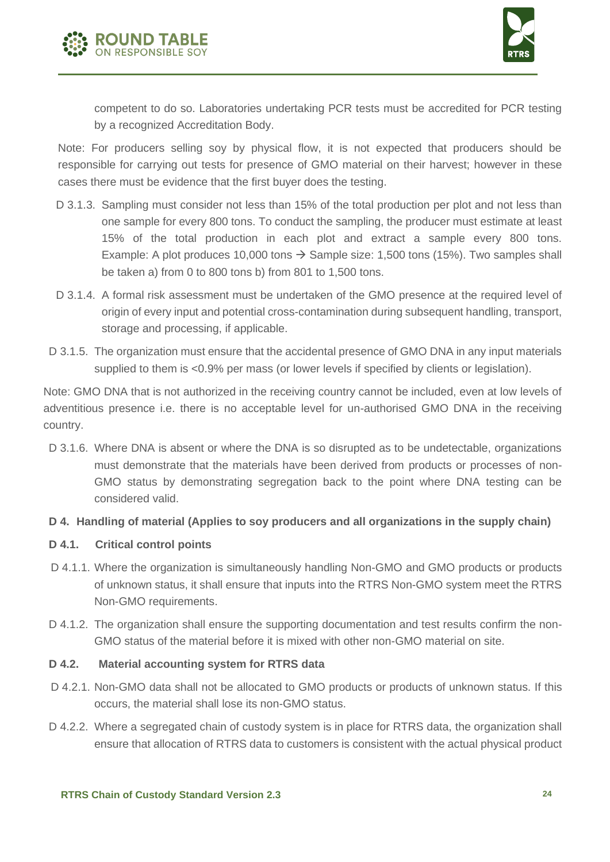



competent to do so. Laboratories undertaking PCR tests must be accredited for PCR testing by a recognized Accreditation Body.

Note: For producers selling soy by physical flow, it is not expected that producers should be responsible for carrying out tests for presence of GMO material on their harvest; however in these cases there must be evidence that the first buyer does the testing.

- D 3.1.3. Sampling must consider not less than 15% of the total production per plot and not less than one sample for every 800 tons. To conduct the sampling, the producer must estimate at least 15% of the total production in each plot and extract a sample every 800 tons. Example: A plot produces 10,000 tons  $\rightarrow$  Sample size: 1,500 tons (15%). Two samples shall be taken a) from 0 to 800 tons b) from 801 to 1,500 tons.
- D 3.1.4. A formal risk assessment must be undertaken of the GMO presence at the required level of origin of every input and potential cross-contamination during subsequent handling, transport, storage and processing, if applicable.
- D 3.1.5. The organization must ensure that the accidental presence of GMO DNA in any input materials supplied to them is <0.9% per mass (or lower levels if specified by clients or legislation).

Note: GMO DNA that is not authorized in the receiving country cannot be included, even at low levels of adventitious presence i.e. there is no acceptable level for un-authorised GMO DNA in the receiving country.

D 3.1.6. Where DNA is absent or where the DNA is so disrupted as to be undetectable, organizations must demonstrate that the materials have been derived from products or processes of non-GMO status by demonstrating segregation back to the point where DNA testing can be considered valid.

#### **D 4. Handling of material (Applies to soy producers and all organizations in the supply chain)**

#### **D 4.1. Critical control points**

- D 4.1.1. Where the organization is simultaneously handling Non-GMO and GMO products or products of unknown status, it shall ensure that inputs into the RTRS Non-GMO system meet the RTRS Non-GMO requirements.
- D 4.1.2. The organization shall ensure the supporting documentation and test results confirm the non-GMO status of the material before it is mixed with other non-GMO material on site.

#### **D 4.2. Material accounting system for RTRS data**

- D 4.2.1. Non-GMO data shall not be allocated to GMO products or products of unknown status. If this occurs, the material shall lose its non-GMO status.
- D 4.2.2. Where a segregated chain of custody system is in place for RTRS data, the organization shall ensure that allocation of RTRS data to customers is consistent with the actual physical product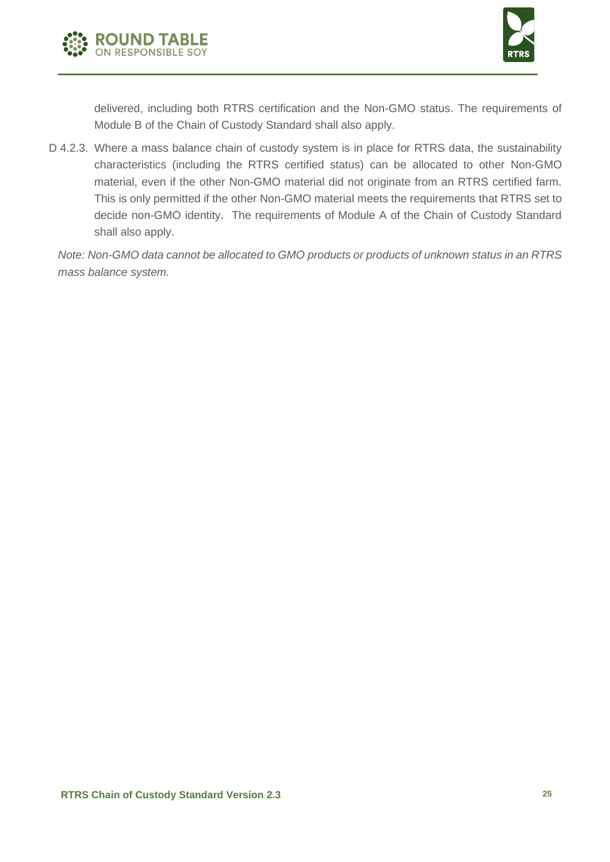



delivered, including both RTRS certification and the Non-GMO status. The requirements of Module B of the Chain of Custody Standard shall also apply.

D 4.2.3. Where a mass balance chain of custody system is in place for RTRS data, the sustainability characteristics (including the RTRS certified status) can be allocated to other Non-GMO material, even if the other Non-GMO material did not originate from an RTRS certified farm. This is only permitted if the other Non-GMO material meets the requirements that RTRS set to decide non-GMO identity. The requirements of Module A of the Chain of Custody Standard shall also apply.

*Note: Non-GMO data cannot be allocated to GMO products or products of unknown status in an RTRS mass balance system.*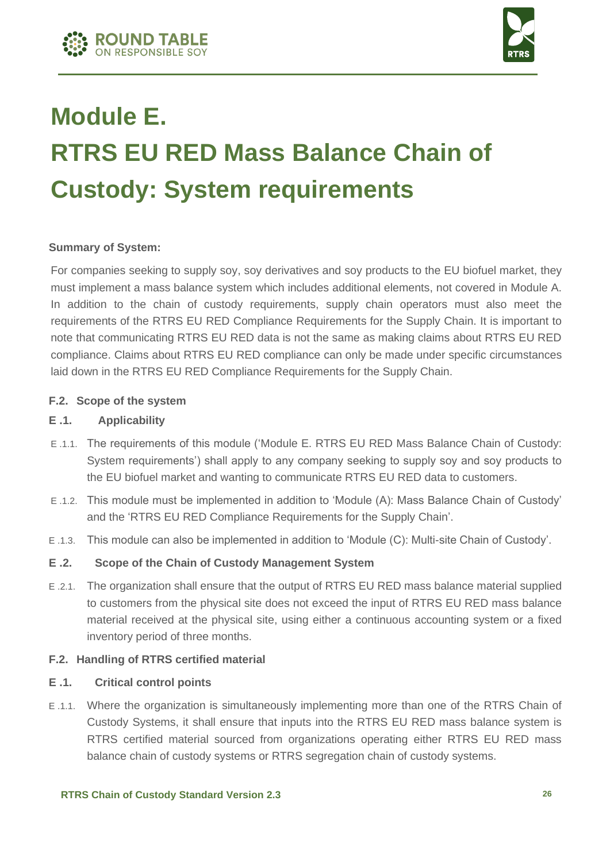



### **Module E. RTRS EU RED Mass Balance Chain of Custody: System requirements**

#### **Summary of System:**

For companies seeking to supply soy, soy derivatives and soy products to the EU biofuel market, they must implement a mass balance system which includes additional elements, not covered in Module A. In addition to the chain of custody requirements, supply chain operators must also meet the requirements of the RTRS EU RED Compliance Requirements for the Supply Chain. It is important to note that communicating RTRS EU RED data is not the same as making claims about RTRS EU RED compliance. Claims about RTRS EU RED compliance can only be made under specific circumstances laid down in the RTRS EU RED Compliance Requirements for the Supply Chain.

#### **F.2. Scope of the system**

#### **E .1. Applicability**

- E .1.1. The requirements of this module ('Module E. RTRS EU RED Mass Balance Chain of Custody: System requirements') shall apply to any company seeking to supply soy and soy products to the EU biofuel market and wanting to communicate RTRS EU RED data to customers.
- E .1.2. This module must be implemented in addition to 'Module (A): Mass Balance Chain of Custody' and the 'RTRS EU RED Compliance Requirements for the Supply Chain'.
- E .1.3. This module can also be implemented in addition to 'Module (C): Multi-site Chain of Custody'.

#### **E .2. Scope of the Chain of Custody Management System**

E .2.1. The organization shall ensure that the output of RTRS EU RED mass balance material supplied to customers from the physical site does not exceed the input of RTRS EU RED mass balance material received at the physical site, using either a continuous accounting system or a fixed inventory period of three months.

#### **F.2. Handling of RTRS certified material**

#### **E .1. Critical control points**

E .1.1. Where the organization is simultaneously implementing more than one of the RTRS Chain of Custody Systems, it shall ensure that inputs into the RTRS EU RED mass balance system is RTRS certified material sourced from organizations operating either RTRS EU RED mass balance chain of custody systems or RTRS segregation chain of custody systems.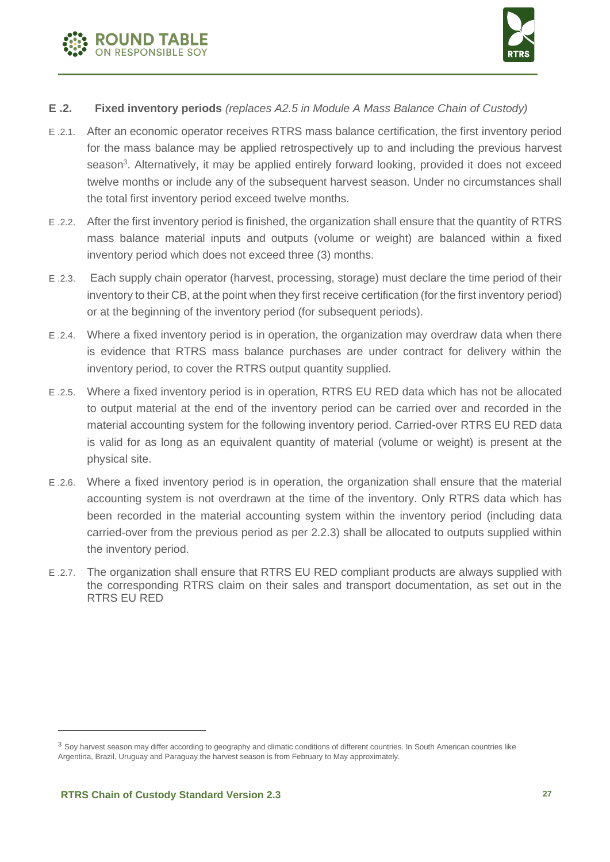



#### **E .2. Fixed inventory periods** *(replaces A2.5 in Module A Mass Balance Chain of Custody)*

- E .2.1. After an economic operator receives RTRS mass balance certification, the first inventory period for the mass balance may be applied retrospectively up to and including the previous harvest season<sup>3</sup>. Alternatively, it may be applied entirely forward looking, provided it does not exceed twelve months or include any of the subsequent harvest season. Under no circumstances shall the total first inventory period exceed twelve months.
- E .2.2. After the first inventory period is finished, the organization shall ensure that the quantity of RTRS mass balance material inputs and outputs (volume or weight) are balanced within a fixed inventory period which does not exceed three (3) months.
- E .2.3. Each supply chain operator (harvest, processing, storage) must declare the time period of their inventory to their CB, at the point when they first receive certification (for the first inventory period) or at the beginning of the inventory period (for subsequent periods).
- E .2.4. Where a fixed inventory period is in operation, the organization may overdraw data when there is evidence that RTRS mass balance purchases are under contract for delivery within the inventory period, to cover the RTRS output quantity supplied.
- E .2.5. Where a fixed inventory period is in operation, RTRS EU RED data which has not be allocated to output material at the end of the inventory period can be carried over and recorded in the material accounting system for the following inventory period. Carried-over RTRS EU RED data is valid for as long as an equivalent quantity of material (volume or weight) is present at the physical site.
- E .2.6. Where a fixed inventory period is in operation, the organization shall ensure that the material accounting system is not overdrawn at the time of the inventory. Only RTRS data which has been recorded in the material accounting system within the inventory period (including data carried-over from the previous period as per 2.2.3) shall be allocated to outputs supplied within the inventory period.
- E .2.7. The organization shall ensure that RTRS EU RED compliant products are always supplied with the corresponding RTRS claim on their sales and transport documentation, as set out in the RTRS EU RED

 $3$  Soy harvest season may differ according to geography and climatic conditions of different countries. In South American countries like Argentina, Brazil, Uruguay and Paraguay the harvest season is from February to May approximately.